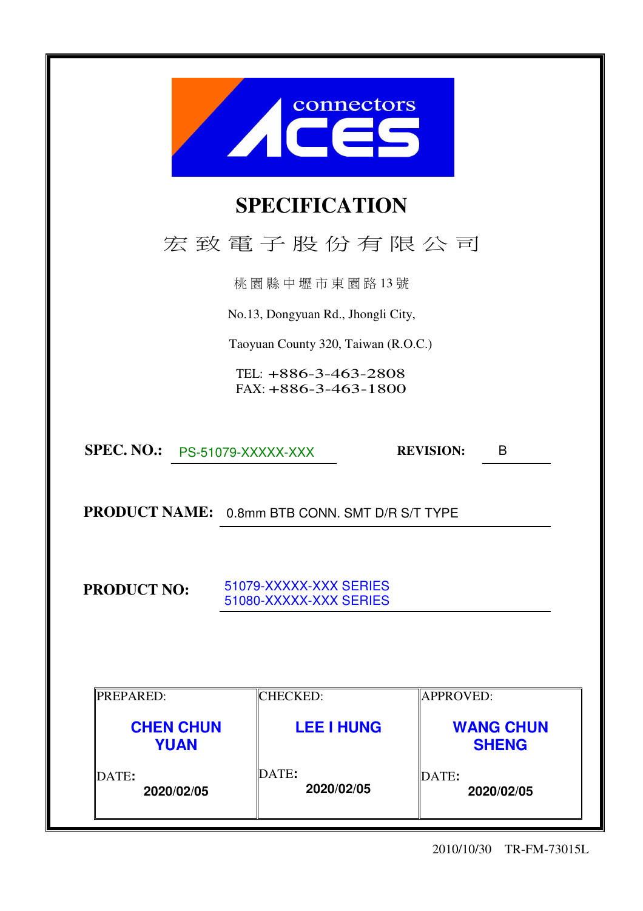|                                 | connectors                                       |                                  |
|---------------------------------|--------------------------------------------------|----------------------------------|
|                                 | <b>SPECIFICATION</b>                             |                                  |
|                                 | 宏致電子股份有限公司                                       |                                  |
|                                 | 桃園縣中壢市東園路13號                                     |                                  |
|                                 | No.13, Dongyuan Rd., Jhongli City,               |                                  |
|                                 | Taoyuan County 320, Taiwan (R.O.C.)              |                                  |
|                                 | TEL: +886-3-463-2808<br>$FAX: +886-3-463-1800$   |                                  |
| SPEC. NO.: PS-51079-XXXXX-XXX   |                                                  | <b>REVISION:</b><br>B            |
|                                 | PRODUCT NAME: 0.8mm BTB CONN. SMT D/R S/T TYPE   |                                  |
| <b>PRODUCT NO:</b>              | 51079-XXXXX-XXX SERIES<br>51080-XXXXX-XXX SERIES |                                  |
| PREPARED:                       | <b>CHECKED:</b>                                  | <b>APPROVED:</b>                 |
| <b>CHEN CHUN</b><br><b>YUAN</b> | <b>LEE I HUNG</b>                                | <b>WANG CHUN</b><br><b>SHENG</b> |
| DATE:<br>2020/02/05             | DATE:<br>2020/02/05                              | DATE:<br>2020/02/05              |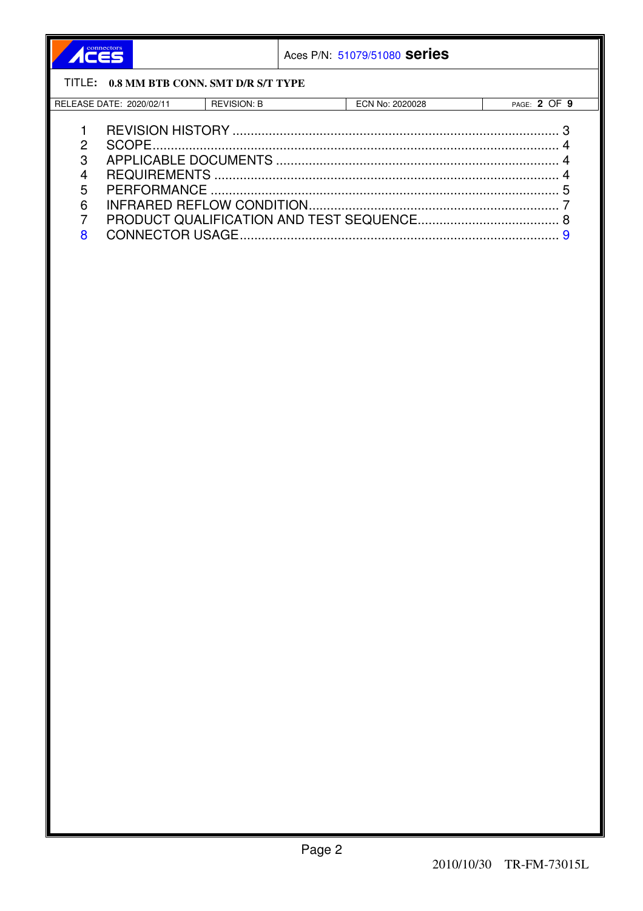| connectors |
|------------|
|            |
|            |

Aces P/N: 51079/51080 Series

# TITLE: 0.8 MM BTB CONN. SMT D/R S/T TYPE

| DATE:<br>EASE<br><b>REI</b><br>.2020/02/1 | REVISION: L | 2020028<br>. . K<br>'NO.<br>. JN - | $\sim$ $-$<br>℩⊢<br>PAGE<br>. . |
|-------------------------------------------|-------------|------------------------------------|---------------------------------|
|                                           |             |                                    |                                 |

| - 3 |  |
|-----|--|
|     |  |
|     |  |
|     |  |
|     |  |
|     |  |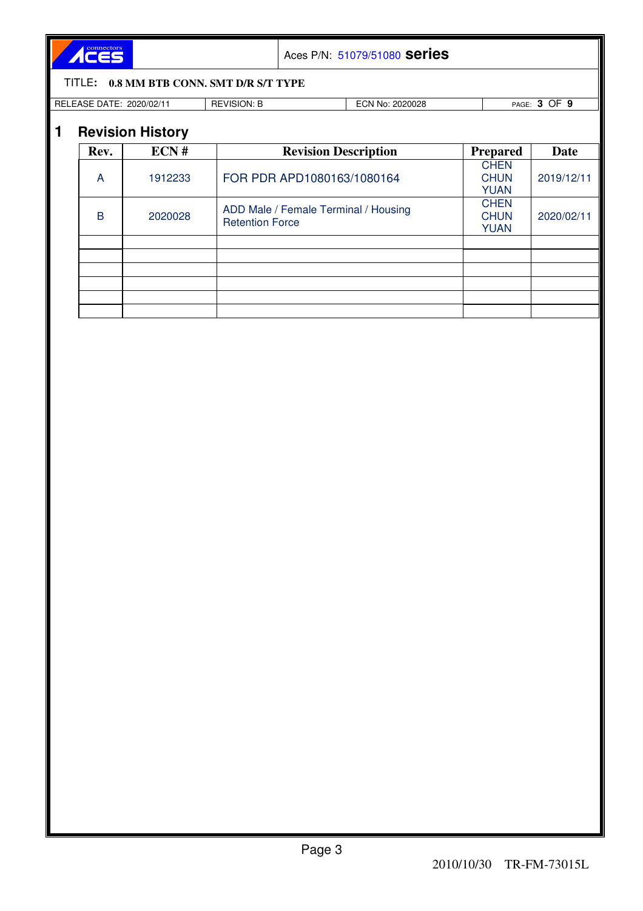ACES

Aces P/N: 51079/51080 **series**

#### TITLE**: 0.8 MM BTB CONN. SMT D/R S/T TYPE**

RELEASE DATE: 2020/02/11 REVISION: B ECN No: 2020028 PAGE: **3** OF **9**

|  | <b>Revision History</b> |
|--|-------------------------|
|  |                         |

|      | .       |                                                                |                                           |            |
|------|---------|----------------------------------------------------------------|-------------------------------------------|------------|
| Rev. | ECN#    | <b>Revision Description</b>                                    | <b>Prepared</b>                           | Date       |
| A    | 1912233 | FOR PDR APD1080163/1080164                                     | <b>CHEN</b><br><b>CHUN</b><br><b>YUAN</b> | 2019/12/11 |
| B    | 2020028 | ADD Male / Female Terminal / Housing<br><b>Retention Force</b> | <b>CHEN</b><br><b>CHUN</b><br><b>YUAN</b> | 2020/02/11 |
|      |         |                                                                |                                           |            |
|      |         |                                                                |                                           |            |
|      |         |                                                                |                                           |            |
|      |         |                                                                |                                           |            |
|      |         |                                                                |                                           |            |
|      |         |                                                                |                                           |            |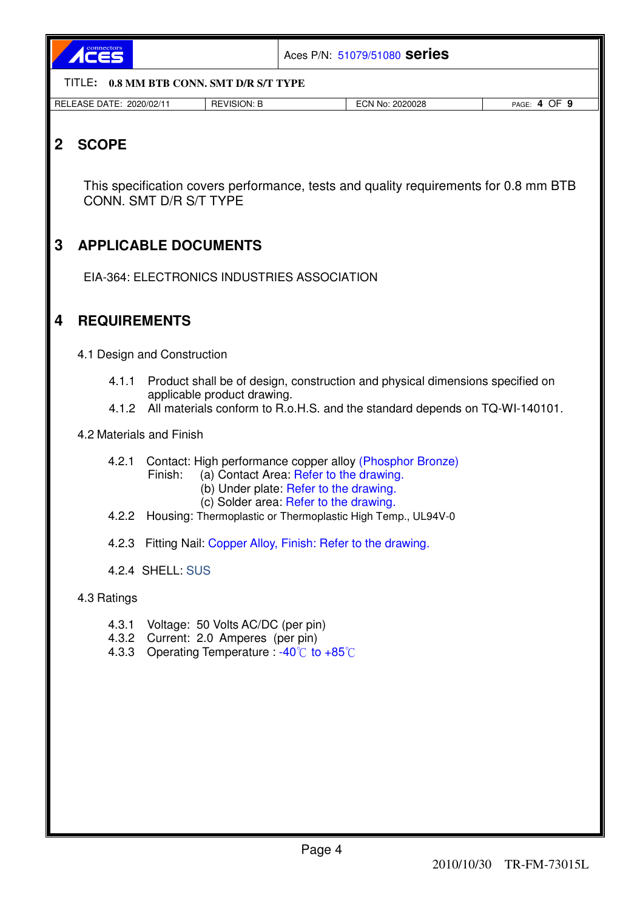

Aces P/N: 51079/51080 **series**

TITLE**: 0.8 MM BTB CONN. SMT D/R S/T TYPE** 

| <b>RELEASE</b><br>DATE<br>2020/02/1<br>______ | <b>TVISION: L</b><br><b>RE</b><br>_____ | 2020028<br>No.<br>∟UN "<br>.<br>___<br>$\sim$ $\sim$ $\sim$ $\sim$ $\sim$ $\sim$ | $\sim$ $\sim$<br>PAGE<br>- 11-<br>ັ |
|-----------------------------------------------|-----------------------------------------|----------------------------------------------------------------------------------|-------------------------------------|

# **2 SCOPE**

This specification covers performance, tests and quality requirements for 0.8 mm BTB CONN. SMT D/R S/T TYPE

# **3 APPLICABLE DOCUMENTS**

EIA-364: ELECTRONICS INDUSTRIES ASSOCIATION

## **4 REQUIREMENTS**

4.1 Design and Construction

- 4.1.1 Product shall be of design, construction and physical dimensions specified on applicable product drawing.
- 4.1.2 All materials conform to R.o.H.S. and the standard depends on TQ-WI-140101.

4.2 Materials and Finish

- 4.2.1 Contact: High performance copper alloy (Phosphor Bronze)
	- Finish: (a) Contact Area: Refer to the drawing.
		- (b) Under plate: Refer to the drawing.
		- (c) Solder area: Refer to the drawing.
- 4.2.2 Housing: Thermoplastic or Thermoplastic High Temp., UL94V-0
- 4.2.3 Fitting Nail: Copper Alloy, Finish: Refer to the drawing.
- 4.2.4 SHELL: SUS

#### 4.3 Ratings

- 4.3.1 Voltage: 50 Volts AC/DC (per pin)
- 4.3.2 Current: 2.0 Amperes (per pin)
- 4.3.3 Operating Temperature :  $-40^{\circ}$  to  $+85^{\circ}$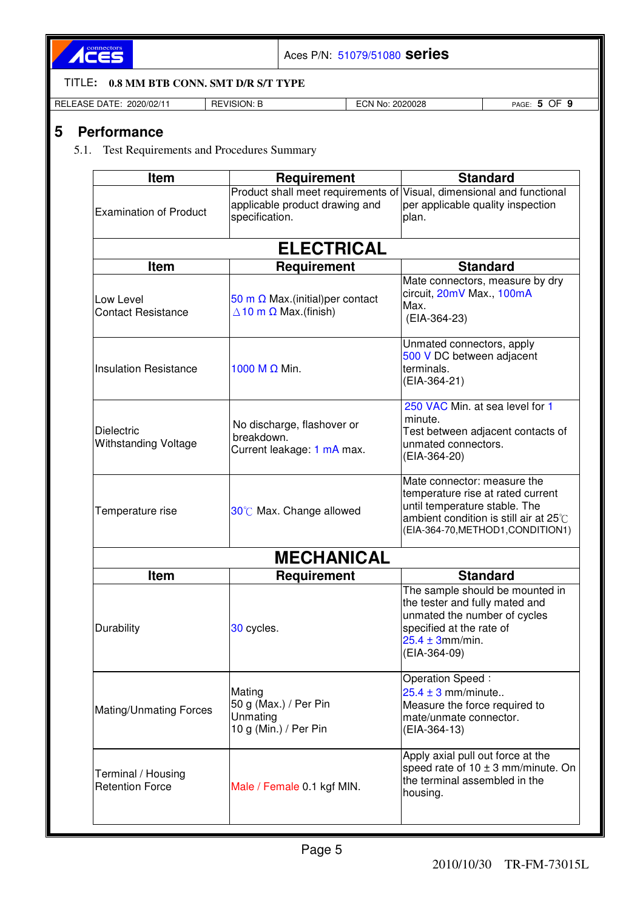

Aces P/N: 51079/51080 **series**

TITLE**: 0.8 MM BTB CONN. SMT D/R S/T TYPE** 

| RELE.<br>----<br>2020/02/1<br>$\lambda$ $\cap$ $\Gamma$<br>שר<br>UAIF<br>__<br>. . | ۱/۱۲<br>ION:<br>៶៲<br>. OL<br>7 I L<br>--<br>_____ | .<br>2020028<br>¬⊾<br>N0.<br>◡ᡰ™ | - -<br>า⊨<br>PAGF<br>. .<br>- |
|------------------------------------------------------------------------------------|----------------------------------------------------|----------------------------------|-------------------------------|

# **5 Performance**

### 5.1. Test Requirements and Procedures Summary

| Item                                             | Requirement                                                                                                               | <b>Standard</b>                                                                                                                                                                  |
|--------------------------------------------------|---------------------------------------------------------------------------------------------------------------------------|----------------------------------------------------------------------------------------------------------------------------------------------------------------------------------|
| <b>Examination of Product</b>                    | Product shall meet requirements of Visual, dimensional and functional<br>applicable product drawing and<br>specification. | per applicable quality inspection<br>plan.                                                                                                                                       |
|                                                  | <b>ELECTRICAL</b>                                                                                                         |                                                                                                                                                                                  |
| <b>Item</b>                                      | Requirement                                                                                                               | <b>Standard</b>                                                                                                                                                                  |
| Low Level<br><b>Contact Resistance</b>           | 50 m $\Omega$ Max.(initial) per contact<br>$\Delta$ 10 m $\Omega$ Max.(finish)                                            | Mate connectors, measure by dry<br>circuit, 20mV Max., 100mA<br>Max.<br>(EIA-364-23)                                                                                             |
| <b>Insulation Resistance</b>                     | 1000 M $\Omega$ Min.                                                                                                      | Unmated connectors, apply<br>500 V DC between adjacent<br>terminals.<br>(EIA-364-21)                                                                                             |
| <b>Dielectric</b><br><b>Withstanding Voltage</b> | No discharge, flashover or<br>breakdown.<br>Current leakage: 1 mA max.                                                    | 250 VAC Min. at sea level for 1<br>minute.<br>Test between adjacent contacts of<br>unmated connectors.<br>(EIA-364-20)                                                           |
| Temperature rise                                 | 30°C Max. Change allowed                                                                                                  | Mate connector: measure the<br>temperature rise at rated current<br>until temperature stable. The<br>ambient condition is still air at 25°C<br>(EIA-364-70, METHOD1, CONDITION1) |
|                                                  | <b>MECHANICAL</b>                                                                                                         |                                                                                                                                                                                  |
| <b>Item</b>                                      | <b>Requirement</b>                                                                                                        | <b>Standard</b>                                                                                                                                                                  |
| Durability                                       | 30 cycles.                                                                                                                | The sample should be mounted in<br>the tester and fully mated and<br>unmated the number of cycles<br>specified at the rate of<br>$25.4 \pm 3$ mm/min.<br>(EIA-364-09)            |
| Mating/Unmating Forces                           | Mating<br>50 g (Max.) / Per Pin<br>Unmating<br>10 g (Min.) / Per Pin                                                      | Operation Speed:<br>$25.4 \pm 3$ mm/minute<br>Measure the force required to<br>mate/unmate connector.<br>(EIA-364-13)                                                            |
| Terminal / Housing<br><b>Retention Force</b>     | Male / Female 0.1 kgf MIN.                                                                                                | Apply axial pull out force at the<br>speed rate of $10 \pm 3$ mm/minute. On<br>the terminal assembled in the<br>housing.                                                         |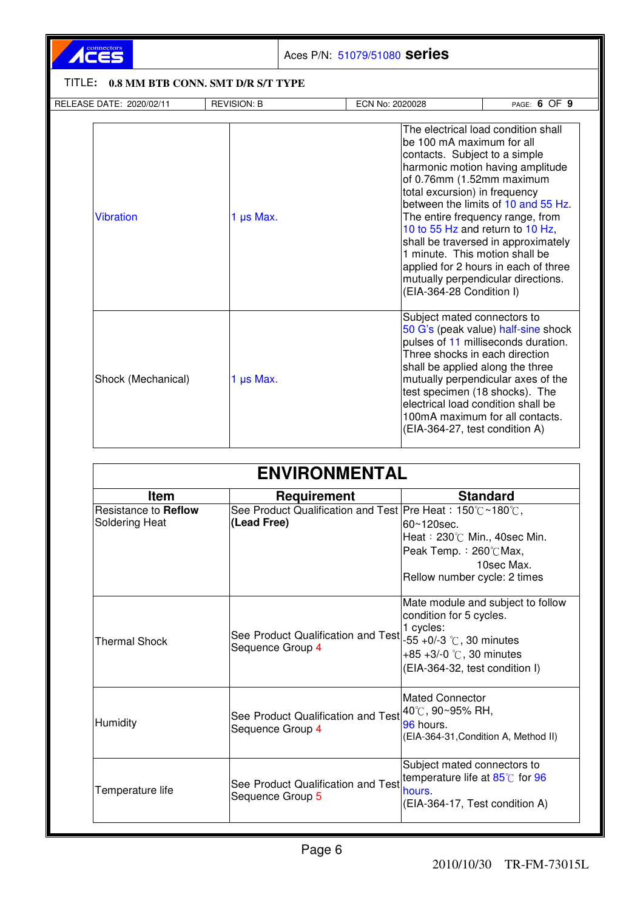# ACES

Aces P/N: 51079/51080 **series**

# TITLE**: 0.8 MM BTB CONN. SMT D/R S/T TYPE**

| RELEASE DATE: 2020/02/11 | <b>REVISION: B</b> | ECN No: 2020028                                                                                                                                                                                             | PAGE: 6 OF 9                                                                                                                                                                                                                                                                                                |
|--------------------------|--------------------|-------------------------------------------------------------------------------------------------------------------------------------------------------------------------------------------------------------|-------------------------------------------------------------------------------------------------------------------------------------------------------------------------------------------------------------------------------------------------------------------------------------------------------------|
| <b>Vibration</b>         | 1 $\mu$ s Max.     | be 100 mA maximum for all<br>contacts. Subject to a simple<br>of 0.76mm (1.52mm maximum<br>total excursion) in frequency<br>1 minute. This motion shall be<br>(EIA-364-28 Condition I)                      | The electrical load condition shall<br>harmonic motion having amplitude<br>between the limits of 10 and 55 Hz.<br>The entire frequency range, from<br>10 to 55 Hz and return to 10 Hz,<br>shall be traversed in approximately<br>applied for 2 hours in each of three<br>mutually perpendicular directions. |
| Shock (Mechanical)       | 1 µs Max.          | Subject mated connectors to<br>Three shocks in each direction<br>shall be applied along the three<br>test specimen (18 shocks). The<br>electrical load condition shall be<br>(EIA-364-27, test condition A) | 50 G's (peak value) half-sine shock<br>pulses of 11 milliseconds duration.<br>mutually perpendicular axes of the<br>100mA maximum for all contacts.                                                                                                                                                         |

| <b>ENVIRONMENTAL</b>                          |                                                                                     |                                                                                                                                                                                 |  |
|-----------------------------------------------|-------------------------------------------------------------------------------------|---------------------------------------------------------------------------------------------------------------------------------------------------------------------------------|--|
| <b>Standard</b><br><b>Item</b><br>Requirement |                                                                                     |                                                                                                                                                                                 |  |
| Resistance to Reflow<br>Soldering Heat        | See Product Qualification and Test   Pre Heat: 150°C ~180°C,<br>(Lead Free)         | l60∼120sec.<br>Heat: 230℃ Min., 40sec Min.<br>Peak Temp.: 260℃Max,<br>10sec Max.<br>Rellow number cycle: 2 times                                                                |  |
| Thermal Shock                                 | See Product Qualification and Test<br>Sequence Group 4                              | Mate module and subject to follow<br>condition for 5 cycles.<br>1 cycles:<br>$-55 + 0/-3$ °C, 30 minutes<br>+85 +3/-0 $\degree$ C, 30 minutes<br>(EIA-364-32, test condition I) |  |
| Humidity                                      | See Product Qualification and Test <sup>140</sup> C, 90~95% RH,<br>Sequence Group 4 | <b>IMated Connector</b><br>96 hours.<br>(EIA-364-31, Condition A, Method II)                                                                                                    |  |
| Temperature life                              | See Product Qualification and Test<br>Sequence Group 5                              | Subject mated connectors to<br>temperature life at $85^{\circ}$ for 96<br>hours.<br>(EIA-364-17, Test condition A)                                                              |  |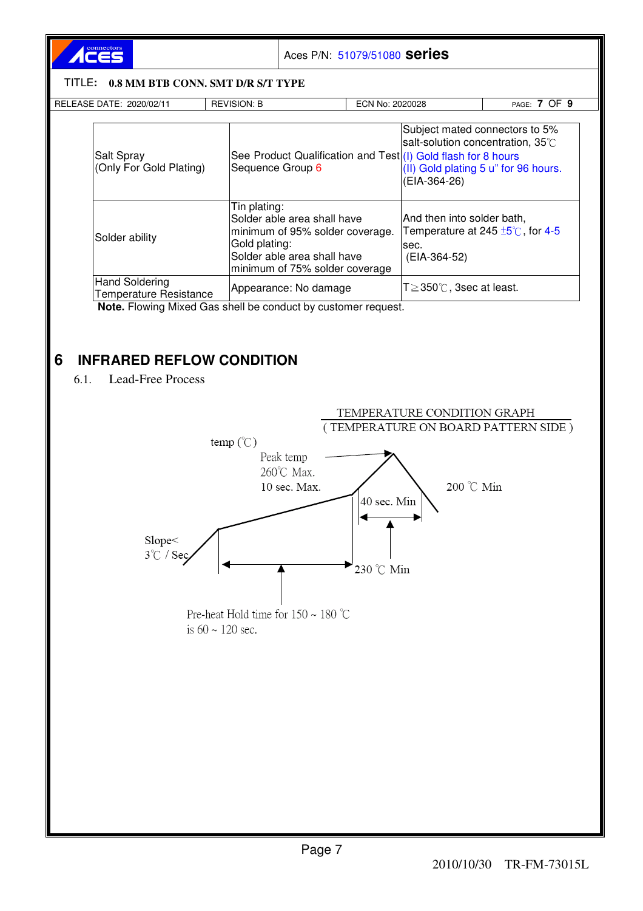

Aces P/N: 51079/51080 **series**

#### TITLE**: 0.8 MM BTB CONN. SMT D/R S/T TYPE**

| RELEASE DATE: 2020/02/11                               | <b>REVISION: B</b>                                                                                                                                               | ECN No: 2020028                                                              | PAGE: 7 OF 9                                                                                                |
|--------------------------------------------------------|------------------------------------------------------------------------------------------------------------------------------------------------------------------|------------------------------------------------------------------------------|-------------------------------------------------------------------------------------------------------------|
| Salt Spray<br>(Only For Gold Plating)                  | Sequence Group 6                                                                                                                                                 | See Product Qualification and Test(I) Gold flash for 8 hours<br>(EIA-364-26) | Subject mated connectors to 5%<br>salt-solution concentration, 35°C<br>(II) Gold plating 5 u" for 96 hours. |
| Solder ability                                         | Tin plating:<br>Solder able area shall have<br>minimum of 95% solder coverage.<br>Gold plating:<br>Solder able area shall have<br>minimum of 75% solder coverage | And then into solder bath,<br>isec.<br>(EIA-364-52)                          | Temperature at 245 $\pm$ 5°C, for 4-5                                                                       |
| <b>Hand Soldering</b><br><b>Temperature Resistance</b> | Appearance: No damage                                                                                                                                            | $T \geq 350^{\circ}$ C, 3sec at least.                                       |                                                                                                             |

# **6 INFRARED REFLOW CONDITION**

6.1. Lead-Free Process

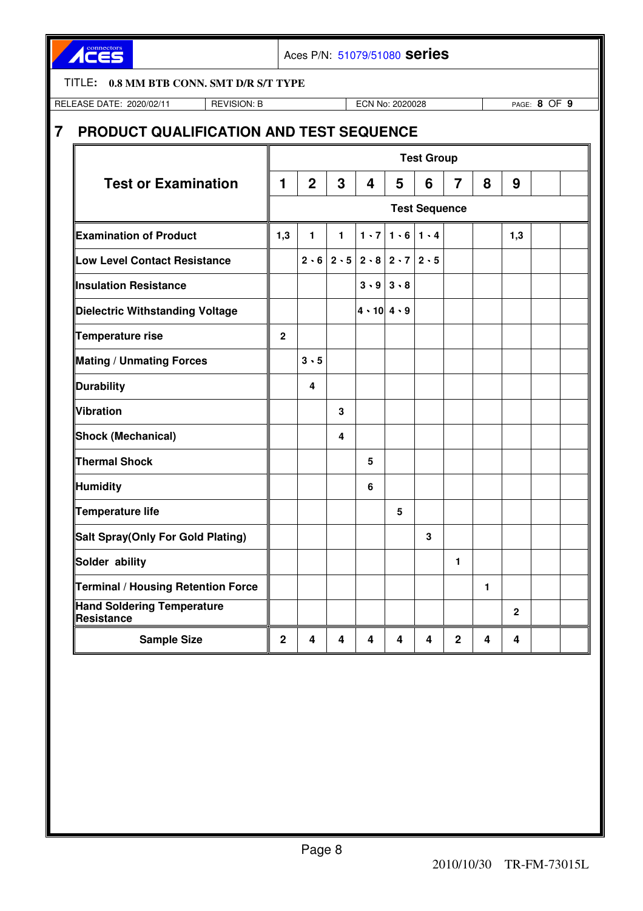ACES

Aces P/N: 51079/51080 **series**

#### TITLE**: 0.8 MM BTB CONN. SMT D/R S/T TYPE**

RELEASE DATE: 2020/02/11 REVISION: B ECN No: 2020028 PAGE: **8** OF **9**

# **7 PRODUCT QUALIFICATION AND TEST SEQUENCE**

|                                                        | <b>Test Group</b>    |                |              |                                       |             |             |                |   |                |  |  |
|--------------------------------------------------------|----------------------|----------------|--------------|---------------------------------------|-------------|-------------|----------------|---|----------------|--|--|
| <b>Test or Examination</b>                             | 1                    | $\overline{2}$ | 3            | 4                                     | 5           | 6           | $\overline{7}$ | 8 | 9              |  |  |
|                                                        | <b>Test Sequence</b> |                |              |                                       |             |             |                |   |                |  |  |
| <b>Examination of Product</b>                          | 1,3                  | 1              | $\mathbf{1}$ | $1 \cdot 7$                           | 1.6         | $1 \cdot 4$ |                |   | 1,3            |  |  |
| <b>Low Level Contact Resistance</b>                    |                      |                |              | $2.6$   $2.5$   $2.8$   $2.7$   $2.5$ |             |             |                |   |                |  |  |
| <b>Insulation Resistance</b>                           |                      |                |              | 3.9                                   | $3 \cdot 8$ |             |                |   |                |  |  |
| <b>Dielectric Withstanding Voltage</b>                 |                      |                |              | $4 \cdot 10$ $4 \cdot 9$              |             |             |                |   |                |  |  |
| Temperature rise                                       | $\overline{2}$       |                |              |                                       |             |             |                |   |                |  |  |
| <b>Mating / Unmating Forces</b>                        |                      | $3 \cdot 5$    |              |                                       |             |             |                |   |                |  |  |
| Durability                                             |                      | 4              |              |                                       |             |             |                |   |                |  |  |
| Vibration                                              |                      |                | 3            |                                       |             |             |                |   |                |  |  |
| Shock (Mechanical)                                     |                      |                | 4            |                                       |             |             |                |   |                |  |  |
| Thermal Shock                                          |                      |                |              | 5                                     |             |             |                |   |                |  |  |
| <b>Humidity</b>                                        |                      |                |              | 6                                     |             |             |                |   |                |  |  |
| Temperature life                                       |                      |                |              |                                       | 5           |             |                |   |                |  |  |
| Salt Spray(Only For Gold Plating)                      |                      |                |              |                                       |             | 3           |                |   |                |  |  |
| Solder ability                                         |                      |                |              |                                       |             |             | 1              |   |                |  |  |
| Terminal / Housing Retention Force                     |                      |                |              |                                       |             |             |                | 1 |                |  |  |
| <b>Hand Soldering Temperature</b><br><b>Resistance</b> |                      |                |              |                                       |             |             |                |   | $\overline{2}$ |  |  |
| <b>Sample Size</b>                                     | $\mathbf{2}$         | 4              | 4            | 4                                     | 4           | 4           | $\mathbf{2}$   | 4 | 4              |  |  |